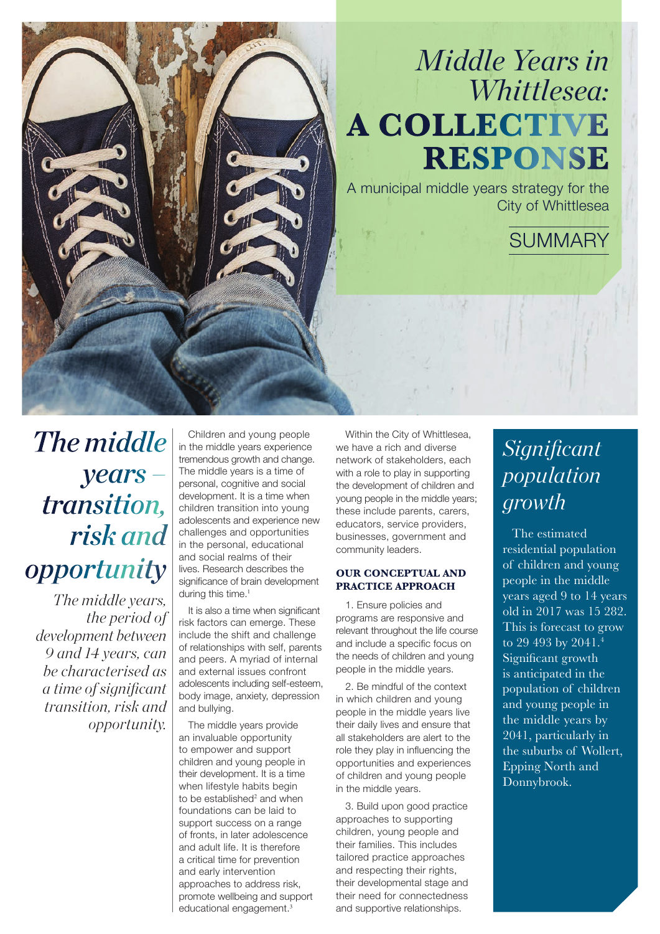# *Middle Years in Whittlesea:* **A COLLECTIVE RESPONSE**

A municipal middle years strategy for the City of Whittlesea

**SUMMARY** 

# *The middle years – transition, risk and opportunity*

*The middle years, the period of development between 9 and 14 years, can be characterised as a time of significant transition, risk and opportunity.* 

Children and young people in the middle years experience tremendous growth and change. The middle years is a time of personal, cognitive and social development. It is a time when children transition into young adolescents and experience new challenges and opportunities in the personal, educational and social realms of their lives. Research describes the significance of brain development during this time.<sup>1</sup>

It is also a time when significant risk factors can emerge. These include the shift and challenge of relationships with self, parents and peers. A myriad of internal and external issues confront adolescents including self-esteem, body image, anxiety, depression and bullying.

The middle years provide an invaluable opportunity to empower and support children and young people in their development. It is a time when lifestyle habits begin to be established<sup>2</sup> and when foundations can be laid to support success on a range of fronts, in later adolescence and adult life. It is therefore a critical time for prevention and early intervention approaches to address risk, promote wellbeing and support educational engagement.<sup>3</sup>

Within the City of Whittlesea, we have a rich and diverse network of stakeholders, each with a role to play in supporting the development of children and young people in the middle years; these include parents, carers, educators, service providers, businesses, government and community leaders.

# **OUR CONCEPTUAL AND PRACTICE APPROACH**

1. Ensure policies and programs are responsive and relevant throughout the life course and include a specific focus on the needs of children and young people in the middle years.

2. Be mindful of the context in which children and young people in the middle years live their daily lives and ensure that all stakeholders are alert to the role they play in influencing the opportunities and experiences of children and young people in the middle years.

3. Build upon good practice approaches to supporting children, young people and their families. This includes tailored practice approaches and respecting their rights, their developmental stage and their need for connectedness and supportive relationships.

# *Significant population growth*

The estimated residential population of children and young people in the middle years aged 9 to 14 years old in 2017 was 15 282. This is forecast to grow to 29 493 by 2041.<sup>4</sup> Significant growth is anticipated in the population of children and young people in the middle years by 2041, particularly in the suburbs of Wollert, Epping North and Donnybrook.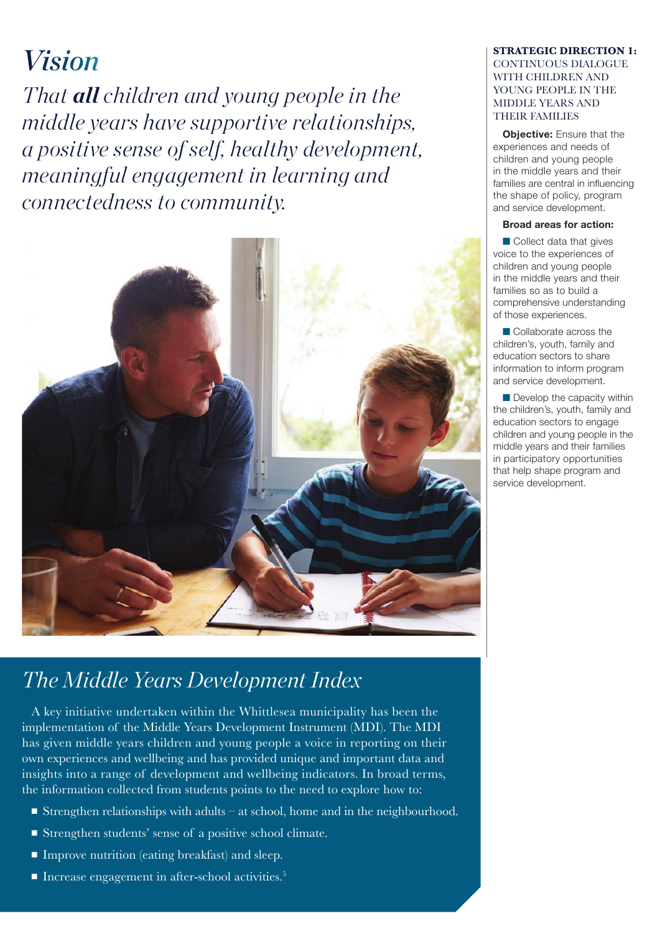# *Vision*

*That all children and young people in the middle years have supportive relationships, a positive sense of self, healthy development, meaningful engagement in learning and connectedness to community.*



# *The Middle Years Development Index*

A key initiative undertaken within the Whittlesea municipality has been the implementation of the Middle Years Development Instrument (MDI). The MDI has given middle years children and young people a voice in reporting on their own experiences and wellbeing and has provided unique and important data and insights into a range of development and wellbeing indicators. In broad terms, the information collected from students points to the need to explore how to:

- **Example 1** Strengthen relationships with adults at school, home and in the neighbourhood.
- $\blacksquare$  Strengthen students' sense of a positive school climate.
- $\blacksquare$  Improve nutrition (eating breakfast) and sleep.
- Increase engagement in after-school activities.<sup>5</sup>

# **STRATEGIC DIRECTION 1:**  CONTINUOUS DIALOGUE WITH CHILDREN AND YOUNG PEOPLE IN THE MIDDLE YEARS AND THEIR FAMILIES

**Objective:** Ensure that the experiences and needs of children and young people in the middle years and their families are central in influencing the shape of policy, program and service development.

# **Broad areas for action:**

 $\blacksquare$  Collect data that gives voice to the experiences of children and young people in the middle years and their families so as to build a comprehensive understanding of those experiences.

**n** Collaborate across the children's, youth, family and education sectors to share information to inform program and service development.

 $\blacksquare$  Develop the capacity within the children's, youth, family and education sectors to engage children and young people in the middle years and their families in participatory opportunities that help shape program and service development.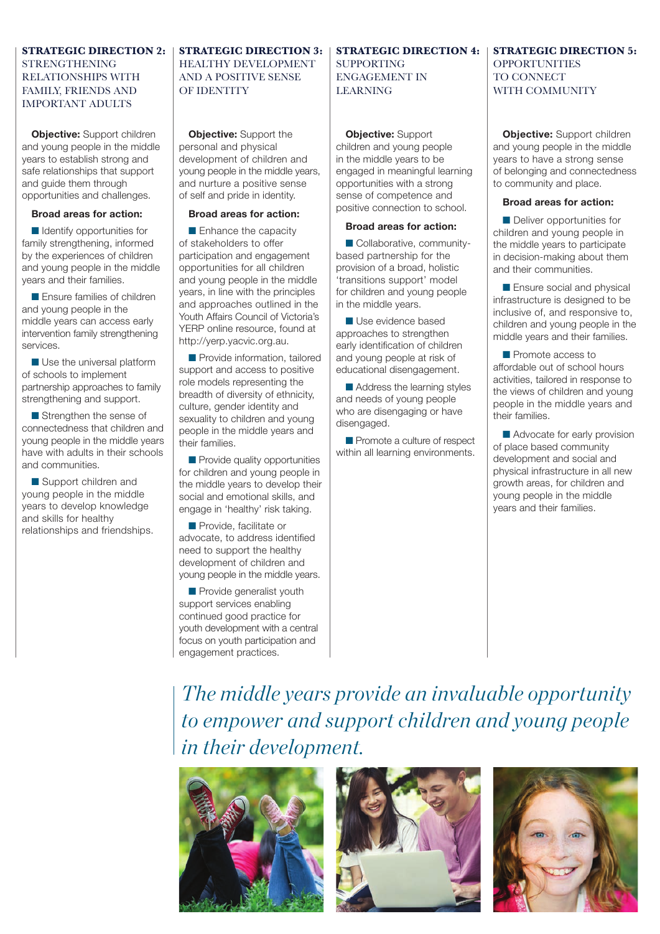# **STRATEGIC DIRECTION 2:**  STRENGTHENING RELATIONSHIPS WITH FAMILY, FRIENDS AND IMPORTANT ADULTS

**Objective:** Support children and young people in the middle years to establish strong and safe relationships that support and guide them through opportunities and challenges.

### **Broad areas for action:**

 $\blacksquare$  Identify opportunities for family strengthening, informed by the experiences of children and young people in the middle years and their families.

**n** Ensure families of children and young people in the middle years can access early intervention family strengthening services.

 $\blacksquare$  Use the universal platform of schools to implement partnership approaches to family strengthening and support.

 $\blacksquare$  Strengthen the sense of connectedness that children and young people in the middle years have with adults in their schools and communities.

■ Support children and young people in the middle years to develop knowledge and skills for healthy relationships and friendships.

# **STRATEGIC DIRECTION 3:**  HEALTHY DEVELOPMENT AND A POSITIVE SENSE OF IDENTITY

**Objective:** Support the personal and physical development of children and young people in the middle years, and nurture a positive sense of self and pride in identity.

## **Broad areas for action:**

 $\blacksquare$  Enhance the capacity of stakeholders to offer participation and engagement opportunities for all children and young people in the middle years, in line with the principles and approaches outlined in the Youth Affairs Council of Victoria's YERP online resource, found at http://yerp.yacvic.org.au.

**n** Provide information, tailored support and access to positive role models representing the breadth of diversity of ethnicity, culture, gender identity and sexuality to children and young people in the middle years and their families.

 $\blacksquare$  Provide quality opportunities for children and young people in the middle years to develop their social and emotional skills, and engage in 'healthy' risk taking.

**n** Provide, facilitate or advocate, to address identified need to support the healthy development of children and young people in the middle years.

**n** Provide generalist youth support services enabling continued good practice for youth development with a central focus on youth participation and engagement practices.

### **STRATEGIC DIRECTION 4:**  SUPPORTING ENGAGEMENT IN LEARNING

**Objective:** Support children and young people in the middle years to be engaged in meaningful learning opportunities with a strong sense of competence and positive connection to school.

### **Broad areas for action:**

■ Collaborative, communitybased partnership for the provision of a broad, holistic 'transitions support' model for children and young people in the middle years.

**N** Use evidence based approaches to strengthen early identification of children and young people at risk of educational disengagement.

Address the learning styles and needs of young people who are disengaging or have disengaged.

Promote a culture of respect within all learning environments.

# **STRATEGIC DIRECTION 5: OPPORTUNITIES** TO CONNECT WITH COMMUNITY

**Objective:** Support children and young people in the middle years to have a strong sense of belonging and connectedness to community and place.

### **Broad areas for action:**

**n** Deliver opportunities for children and young people in the middle years to participate in decision-making about them and their communities.

 $\blacksquare$  Ensure social and physical infrastructure is designed to be inclusive of, and responsive to, children and young people in the middle years and their families.

**n** Promote access to affordable out of school hours activities, tailored in response to the views of children and young people in the middle years and their families.

Advocate for early provision of place based community development and social and physical infrastructure in all new growth areas, for children and young people in the middle years and their families.

*The middle years provide an invaluable opportunity to empower and support children and young people in their development.*